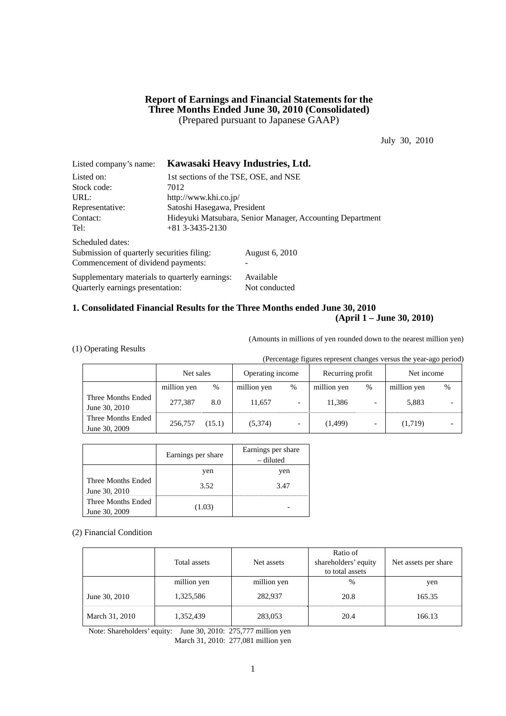## **Report of Earnings and Financial Statements for the Three Months Ended June 30, 2010 (Consolidated)**  (Prepared pursuant to Japanese GAAP)

July 30, 2010

| Listed company's name:                         |                                                           | Kawasaki Heavy Industries, Ltd. |  |  |
|------------------------------------------------|-----------------------------------------------------------|---------------------------------|--|--|
| Listed on:                                     | 1st sections of the TSE, OSE, and NSE                     |                                 |  |  |
| Stock code:                                    | 7012                                                      |                                 |  |  |
| URL:                                           | http://www.khi.co.jp/                                     |                                 |  |  |
| Representative:                                | Satoshi Hasegawa, President                               |                                 |  |  |
| Contact:                                       | Hideyuki Matsubara, Senior Manager, Accounting Department |                                 |  |  |
| Tel:                                           | $+81$ 3-3435-2130                                         |                                 |  |  |
| Scheduled dates:                               |                                                           |                                 |  |  |
| Submission of quarterly securities filing:     |                                                           | August 6, 2010                  |  |  |
| Commencement of dividend payments:             |                                                           |                                 |  |  |
| Supplementary materials to quarterly earnings: |                                                           | Available                       |  |  |
| Quarterly earnings presentation:               |                                                           | Not conducted                   |  |  |

## **1. Consolidated Financial Results for the Three Months ended June 30, 2010 (April 1 – June 30, 2010)**

(Amounts in millions of yen rounded down to the nearest million yen)

(1) Operating Results

(Percentage figures represent changes versus the year-ago period)

|                                     | Net sales   |        | Operating income |                          | Recurring profit |      | Net income  |   |
|-------------------------------------|-------------|--------|------------------|--------------------------|------------------|------|-------------|---|
|                                     | million yen | %      | million yen      | $\%$                     | million yen      | $\%$ | million yen | % |
| Three Months Ended<br>June 30, 2010 | 277,387     | 8.0    | 11.657           |                          | 11.386           |      | 5,883       |   |
| Three Months Ended<br>June 30, 2009 | 256,757     | (15.1) | (5,374)          | $\overline{\phantom{0}}$ | (1,499)          | -    | (1,719)     |   |

|                                     | Earnings per share | Earnings per share<br>– diluted |
|-------------------------------------|--------------------|---------------------------------|
|                                     | yen                | yen                             |
| Three Months Ended<br>June 30, 2010 | 3.52               | 3.47                            |
| Three Months Ended<br>June 30, 2009 | (1.03)             |                                 |

### (2) Financial Condition

|                | Total assets | Net assets  | Ratio of<br>shareholders' equity<br>to total assets | Net assets per share |
|----------------|--------------|-------------|-----------------------------------------------------|----------------------|
|                | million yen  | million yen | %                                                   | yen                  |
| June 30, 2010  | 1,325,586    | 282,937     | 20.8                                                | 165.35               |
| March 31, 2010 | 1,352,439    | 283,053     | 20.4                                                | 166.13               |

Note: Shareholders' equity: June 30, 2010: 275,777 million yen March 31, 2010: 277,081 million yen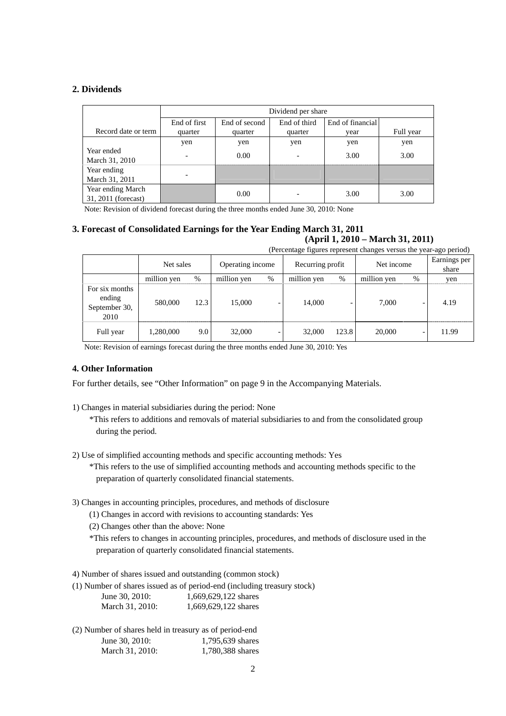## **2. Dividends**

|                                          |                          | Dividend per share                                |                          |      |           |  |  |  |
|------------------------------------------|--------------------------|---------------------------------------------------|--------------------------|------|-----------|--|--|--|
|                                          | End of first             | End of third<br>End of financial<br>End of second |                          |      |           |  |  |  |
| Record date or term                      | quarter                  | quarter                                           | quarter                  | vear | Full year |  |  |  |
|                                          | yen                      | yen                                               | yen                      | yen  | yen       |  |  |  |
| Year ended<br>March 31, 2010             | $\overline{\phantom{0}}$ | 0.00                                              | $\overline{\phantom{0}}$ | 3.00 | 3.00      |  |  |  |
| Year ending<br>March 31, 2011            |                          |                                                   |                          |      |           |  |  |  |
| Year ending March<br>31, 2011 (forecast) |                          | 0.00                                              |                          | 3.00 | 3.00      |  |  |  |

Note: Revision of dividend forecast during the three months ended June 30, 2010: None

## **3. Forecast of Consolidated Earnings for the Year Ending March 31, 2011 (April 1, 2010 – March 31, 2011)**

(Percentage figures represent changes versus the year-ago period)

|                                                   | ---------<br>-- --- - - -- <i>- - -</i> / |      |                  |   |                  |       |             |   |                       |
|---------------------------------------------------|-------------------------------------------|------|------------------|---|------------------|-------|-------------|---|-----------------------|
|                                                   | Net sales                                 |      | Operating income |   | Recurring profit |       | Net income  |   | Earnings per<br>share |
|                                                   | million yen                               | %    | million yen      | % | million yen      | %     | million yen | % | yen                   |
| For six months<br>ending<br>September 30,<br>2010 | 580,000                                   | 12.3 | 15,000           |   | 14,000           |       | 7.000       |   | 4.19                  |
| Full year                                         | 1,280,000                                 | 9.0  | 32,000           |   | 32,000           | 123.8 | 20,000      |   | 11.99                 |

Note: Revision of earnings forecast during the three months ended June 30, 2010: Yes

## **4. Other Information**

For further details, see "Other Information" on page 9 in the Accompanying Materials.

- 1) Changes in material subsidiaries during the period: None
	- \*This refers to additions and removals of material subsidiaries to and from the consolidated group during the period.
- 2) Use of simplified accounting methods and specific accounting methods: Yes

\*This refers to the use of simplified accounting methods and accounting methods specific to the preparation of quarterly consolidated financial statements.

- 3) Changes in accounting principles, procedures, and methods of disclosure
	- (1) Changes in accord with revisions to accounting standards: Yes
	- (2) Changes other than the above: None
	- \*This refers to changes in accounting principles, procedures, and methods of disclosure used in the preparation of quarterly consolidated financial statements.

4) Number of shares issued and outstanding (common stock)

(1) Number of shares issued as of period-end (including treasury stock)

| June 30, 2010:  | 1,669,629,122 shares |
|-----------------|----------------------|
| March 31, 2010: | 1,669,629,122 shares |

(2) Number of shares held in treasury as of period-end June 30, 2010: 1,795,639 shares March 31, 2010: 1.780,388 shares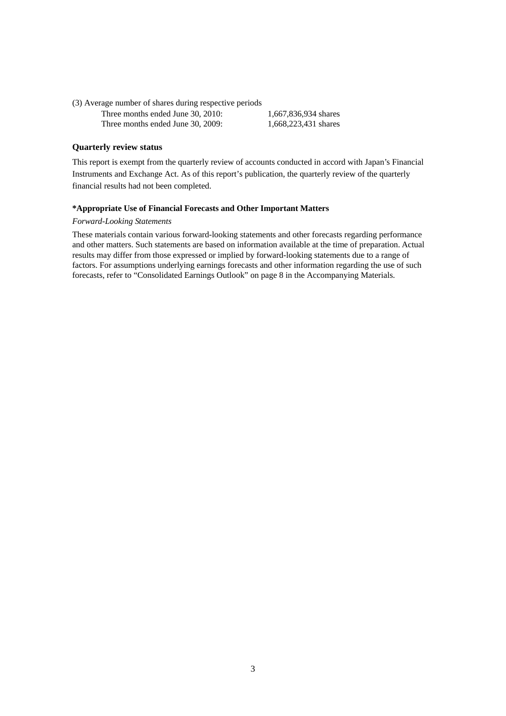(3) Average number of shares during respective periods Three months ended June 30, 2010: 1,667,836,934 shares Three months ended June 30, 2009: 1,668,223,431 shares

## **Quarterly review status**

This report is exempt from the quarterly review of accounts conducted in accord with Japan's Financial Instruments and Exchange Act. As of this report's publication, the quarterly review of the quarterly financial results had not been completed.

### **\*Appropriate Use of Financial Forecasts and Other Important Matters**

## *Forward-Looking Statements*

These materials contain various forward-looking statements and other forecasts regarding performance and other matters. Such statements are based on information available at the time of preparation. Actual results may differ from those expressed or implied by forward-looking statements due to a range of factors. For assumptions underlying earnings forecasts and other information regarding the use of such forecasts, refer to "Consolidated Earnings Outlook" on page 8 in the Accompanying Materials.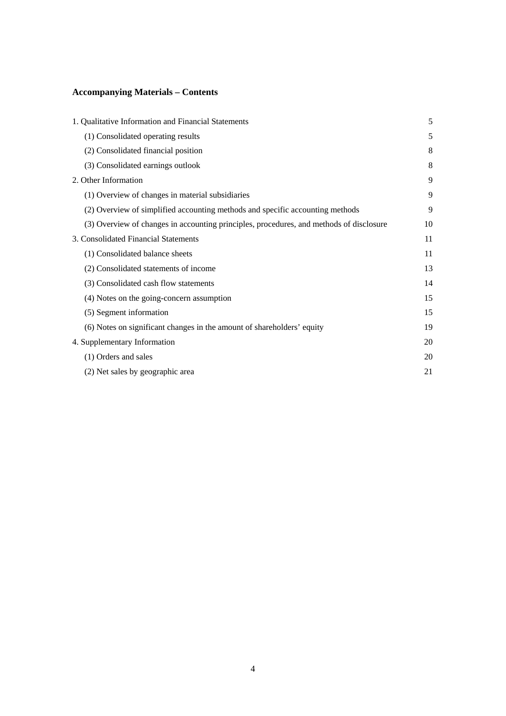# **Accompanying Materials – Contents**

| 1. Qualitative Information and Financial Statements                                     | 5  |
|-----------------------------------------------------------------------------------------|----|
| (1) Consolidated operating results                                                      | 5  |
| (2) Consolidated financial position                                                     | 8  |
| (3) Consolidated earnings outlook                                                       | 8  |
| 2. Other Information                                                                    | 9  |
| (1) Overview of changes in material subsidiaries                                        | 9  |
| (2) Overview of simplified accounting methods and specific accounting methods           | 9  |
| (3) Overview of changes in accounting principles, procedures, and methods of disclosure | 10 |
| 3. Consolidated Financial Statements                                                    | 11 |
| (1) Consolidated balance sheets                                                         | 11 |
| (2) Consolidated statements of income                                                   | 13 |
| (3) Consolidated cash flow statements                                                   | 14 |
| (4) Notes on the going-concern assumption                                               | 15 |
| (5) Segment information                                                                 | 15 |
| (6) Notes on significant changes in the amount of shareholders' equity                  | 19 |
| 4. Supplementary Information                                                            | 20 |
| (1) Orders and sales                                                                    | 20 |
| (2) Net sales by geographic area                                                        | 21 |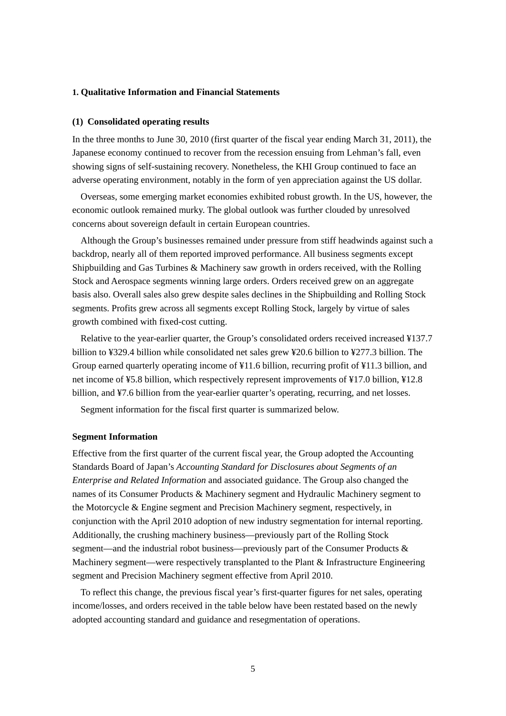## **1. Qualitative Information and Financial Statements**

### **(1) Consolidated operating results**

In the three months to June 30, 2010 (first quarter of the fiscal year ending March 31, 2011), the Japanese economy continued to recover from the recession ensuing from Lehman's fall, even showing signs of self-sustaining recovery. Nonetheless, the KHI Group continued to face an adverse operating environment, notably in the form of yen appreciation against the US dollar.

Overseas, some emerging market economies exhibited robust growth. In the US, however, the economic outlook remained murky. The global outlook was further clouded by unresolved concerns about sovereign default in certain European countries.

Although the Group's businesses remained under pressure from stiff headwinds against such a backdrop, nearly all of them reported improved performance. All business segments except Shipbuilding and Gas Turbines & Machinery saw growth in orders received, with the Rolling Stock and Aerospace segments winning large orders. Orders received grew on an aggregate basis also. Overall sales also grew despite sales declines in the Shipbuilding and Rolling Stock segments. Profits grew across all segments except Rolling Stock, largely by virtue of sales growth combined with fixed-cost cutting.

Relative to the year-earlier quarter, the Group's consolidated orders received increased ¥137.7 billion to ¥329.4 billion while consolidated net sales grew ¥20.6 billion to ¥277.3 billion. The Group earned quarterly operating income of ¥11.6 billion, recurring profit of ¥11.3 billion, and net income of ¥5.8 billion, which respectively represent improvements of ¥17.0 billion, ¥12.8 billion, and ¥7.6 billion from the year-earlier quarter's operating, recurring, and net losses.

Segment information for the fiscal first quarter is summarized below.

#### **Segment Information**

Effective from the first quarter of the current fiscal year, the Group adopted the Accounting Standards Board of Japan's *Accounting Standard for Disclosures about Segments of an Enterprise and Related Information* and associated guidance. The Group also changed the names of its Consumer Products & Machinery segment and Hydraulic Machinery segment to the Motorcycle & Engine segment and Precision Machinery segment, respectively, in conjunction with the April 2010 adoption of new industry segmentation for internal reporting. Additionally, the crushing machinery business—previously part of the Rolling Stock segment—and the industrial robot business—previously part of the Consumer Products & Machinery segment—were respectively transplanted to the Plant & Infrastructure Engineering segment and Precision Machinery segment effective from April 2010.

To reflect this change, the previous fiscal year's first-quarter figures for net sales, operating income/losses, and orders received in the table below have been restated based on the newly adopted accounting standard and guidance and resegmentation of operations.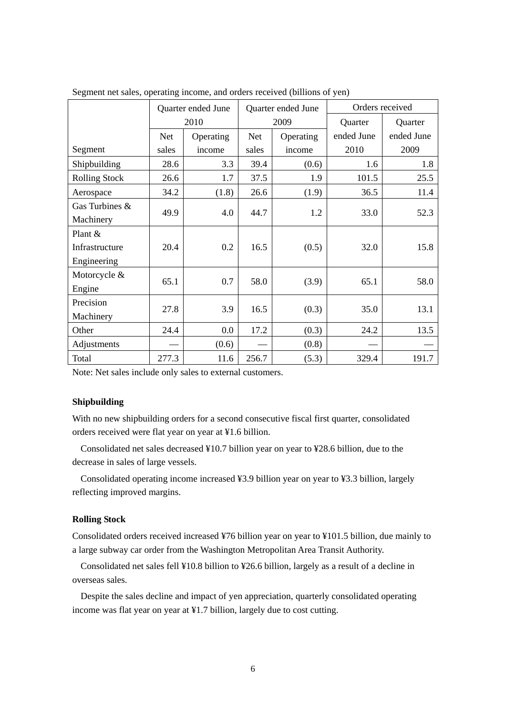|                      | Quarter ended June |           |            | Quarter ended June | Orders received |            |  |
|----------------------|--------------------|-----------|------------|--------------------|-----------------|------------|--|
|                      |                    | 2010      | 2009       |                    | Quarter         | Quarter    |  |
|                      | <b>Net</b>         | Operating | <b>Net</b> | Operating          | ended June      | ended June |  |
| Segment              | sales              | income    | sales      | income             | 2010            | 2009       |  |
| Shipbuilding         | 28.6               | 3.3       | 39.4       | (0.6)              | 1.6             | 1.8        |  |
| <b>Rolling Stock</b> | 26.6               | 1.7       | 37.5       | 1.9                | 101.5           | 25.5       |  |
| Aerospace            | 34.2               | (1.8)     | 26.6       | (1.9)              | 36.5            | 11.4       |  |
| Gas Turbines &       |                    |           |            |                    |                 |            |  |
| Machinery            | 49.9               | 4.0       | 44.7       | 1.2                | 33.0            | 52.3       |  |
| Plant $&$            |                    |           |            |                    |                 |            |  |
| Infrastructure       | 20.4               | 0.2       | 16.5       | (0.5)              | 32.0            | 15.8       |  |
| Engineering          |                    |           |            |                    |                 |            |  |
| Motorcycle &         |                    |           |            |                    |                 |            |  |
| Engine               | 65.1               | 0.7       | 58.0       | (3.9)              | 65.1            | 58.0       |  |
| Precision            |                    |           |            |                    |                 |            |  |
| Machinery            | 27.8               | 3.9       | 16.5       | (0.3)              | 35.0            | 13.1       |  |
| Other                | 24.4               | 0.0       | 17.2       | (0.3)              | 24.2            | 13.5       |  |
| Adjustments          |                    | (0.6)     |            | (0.8)              |                 |            |  |
| Total                | 277.3              | 11.6      | 256.7      | (5.3)              | 329.4           | 191.7      |  |

Segment net sales, operating income, and orders received (billions of yen)

Note: Net sales include only sales to external customers.

## **Shipbuilding**

With no new shipbuilding orders for a second consecutive fiscal first quarter, consolidated orders received were flat year on year at ¥1.6 billion.

Consolidated net sales decreased ¥10.7 billion year on year to ¥28.6 billion, due to the decrease in sales of large vessels.

Consolidated operating income increased ¥3.9 billion year on year to ¥3.3 billion, largely reflecting improved margins.

## **Rolling Stock**

Consolidated orders received increased ¥76 billion year on year to ¥101.5 billion, due mainly to a large subway car order from the Washington Metropolitan Area Transit Authority.

Consolidated net sales fell ¥10.8 billion to ¥26.6 billion, largely as a result of a decline in overseas sales.

Despite the sales decline and impact of yen appreciation, quarterly consolidated operating income was flat year on year at ¥1.7 billion, largely due to cost cutting.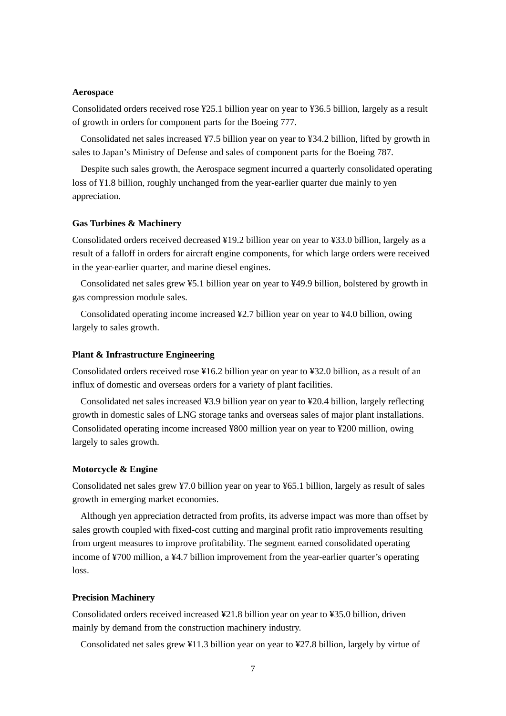#### **Aerospace**

Consolidated orders received rose ¥25.1 billion year on year to ¥36.5 billion, largely as a result of growth in orders for component parts for the Boeing 777.

Consolidated net sales increased ¥7.5 billion year on year to ¥34.2 billion, lifted by growth in sales to Japan's Ministry of Defense and sales of component parts for the Boeing 787.

Despite such sales growth, the Aerospace segment incurred a quarterly consolidated operating loss of ¥1.8 billion, roughly unchanged from the year-earlier quarter due mainly to yen appreciation.

### **Gas Turbines & Machinery**

Consolidated orders received decreased ¥19.2 billion year on year to ¥33.0 billion, largely as a result of a falloff in orders for aircraft engine components, for which large orders were received in the year-earlier quarter, and marine diesel engines.

Consolidated net sales grew ¥5.1 billion year on year to ¥49.9 billion, bolstered by growth in gas compression module sales.

Consolidated operating income increased ¥2.7 billion year on year to ¥4.0 billion, owing largely to sales growth.

### **Plant & Infrastructure Engineering**

Consolidated orders received rose ¥16.2 billion year on year to ¥32.0 billion, as a result of an influx of domestic and overseas orders for a variety of plant facilities.

Consolidated net sales increased ¥3.9 billion year on year to ¥20.4 billion, largely reflecting growth in domestic sales of LNG storage tanks and overseas sales of major plant installations. Consolidated operating income increased ¥800 million year on year to ¥200 million, owing largely to sales growth.

### **Motorcycle & Engine**

Consolidated net sales grew ¥7.0 billion year on year to ¥65.1 billion, largely as result of sales growth in emerging market economies.

Although yen appreciation detracted from profits, its adverse impact was more than offset by sales growth coupled with fixed-cost cutting and marginal profit ratio improvements resulting from urgent measures to improve profitability. The segment earned consolidated operating income of ¥700 million, a ¥4.7 billion improvement from the year-earlier quarter's operating loss.

### **Precision Machinery**

Consolidated orders received increased ¥21.8 billion year on year to ¥35.0 billion, driven mainly by demand from the construction machinery industry.

Consolidated net sales grew ¥11.3 billion year on year to ¥27.8 billion, largely by virtue of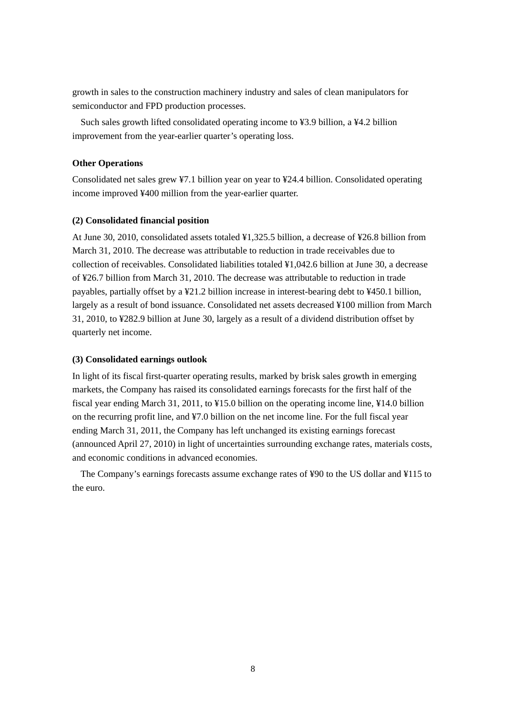growth in sales to the construction machinery industry and sales of clean manipulators for semiconductor and FPD production processes.

Such sales growth lifted consolidated operating income to ¥3.9 billion, a ¥4.2 billion improvement from the year-earlier quarter's operating loss.

## **Other Operations**

Consolidated net sales grew ¥7.1 billion year on year to ¥24.4 billion. Consolidated operating income improved ¥400 million from the year-earlier quarter.

## **(2) Consolidated financial position**

At June 30, 2010, consolidated assets totaled ¥1,325.5 billion, a decrease of ¥26.8 billion from March 31, 2010. The decrease was attributable to reduction in trade receivables due to collection of receivables. Consolidated liabilities totaled ¥1,042.6 billion at June 30, a decrease of ¥26.7 billion from March 31, 2010. The decrease was attributable to reduction in trade payables, partially offset by a ¥21.2 billion increase in interest-bearing debt to ¥450.1 billion, largely as a result of bond issuance. Consolidated net assets decreased ¥100 million from March 31, 2010, to ¥282.9 billion at June 30, largely as a result of a dividend distribution offset by quarterly net income.

## **(3) Consolidated earnings outlook**

In light of its fiscal first-quarter operating results, marked by brisk sales growth in emerging markets, the Company has raised its consolidated earnings forecasts for the first half of the fiscal year ending March 31, 2011, to ¥15.0 billion on the operating income line, ¥14.0 billion on the recurring profit line, and ¥7.0 billion on the net income line. For the full fiscal year ending March 31, 2011, the Company has left unchanged its existing earnings forecast (announced April 27, 2010) in light of uncertainties surrounding exchange rates, materials costs, and economic conditions in advanced economies.

The Company's earnings forecasts assume exchange rates of ¥90 to the US dollar and ¥115 to the euro.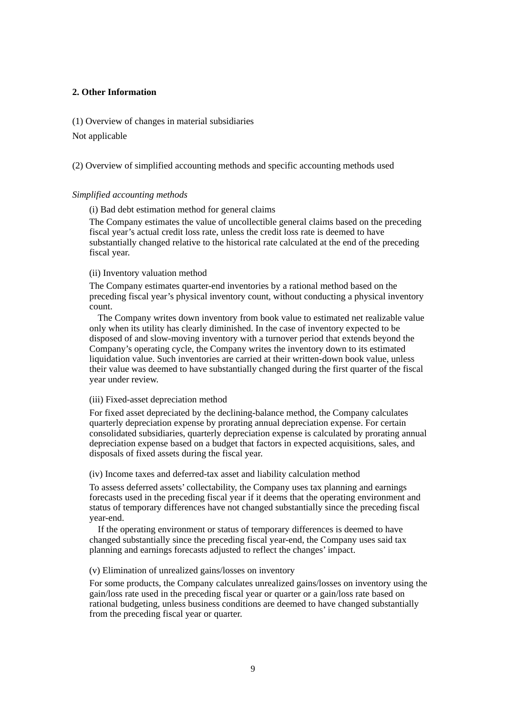## **2. Other Information**

(1) Overview of changes in material subsidiaries

Not applicable

(2) Overview of simplified accounting methods and specific accounting methods used

## *Simplified accounting methods*

(i) Bad debt estimation method for general claims

The Company estimates the value of uncollectible general claims based on the preceding fiscal year's actual credit loss rate, unless the credit loss rate is deemed to have substantially changed relative to the historical rate calculated at the end of the preceding fiscal year.

### (ii) Inventory valuation method

The Company estimates quarter-end inventories by a rational method based on the preceding fiscal year's physical inventory count, without conducting a physical inventory count.

The Company writes down inventory from book value to estimated net realizable value only when its utility has clearly diminished. In the case of inventory expected to be disposed of and slow-moving inventory with a turnover period that extends beyond the Company's operating cycle, the Company writes the inventory down to its estimated liquidation value. Such inventories are carried at their written-down book value, unless their value was deemed to have substantially changed during the first quarter of the fiscal year under review.

### (iii) Fixed-asset depreciation method

For fixed asset depreciated by the declining-balance method, the Company calculates quarterly depreciation expense by prorating annual depreciation expense. For certain consolidated subsidiaries, quarterly depreciation expense is calculated by prorating annual depreciation expense based on a budget that factors in expected acquisitions, sales, and disposals of fixed assets during the fiscal year.

(iv) Income taxes and deferred-tax asset and liability calculation method

To assess deferred assets' collectability, the Company uses tax planning and earnings forecasts used in the preceding fiscal year if it deems that the operating environment and status of temporary differences have not changed substantially since the preceding fiscal year-end.

If the operating environment or status of temporary differences is deemed to have changed substantially since the preceding fiscal year-end, the Company uses said tax planning and earnings forecasts adjusted to reflect the changes' impact.

## (v) Elimination of unrealized gains/losses on inventory

For some products, the Company calculates unrealized gains/losses on inventory using the gain/loss rate used in the preceding fiscal year or quarter or a gain/loss rate based on rational budgeting, unless business conditions are deemed to have changed substantially from the preceding fiscal year or quarter.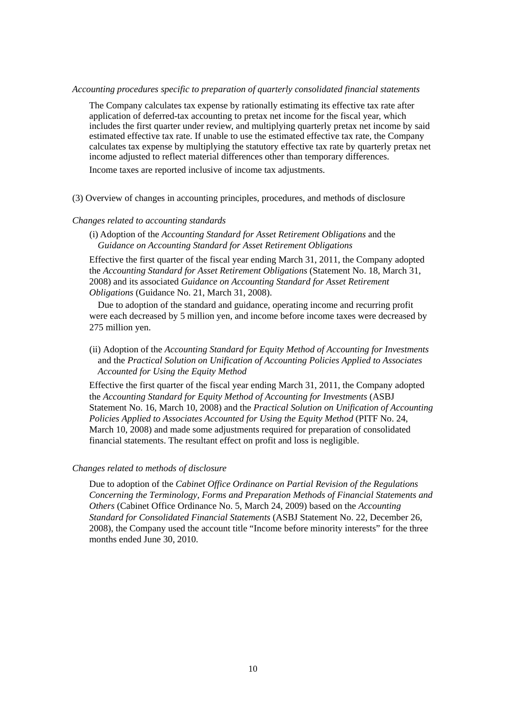### *Accounting procedures specific to preparation of quarterly consolidated financial statements*

The Company calculates tax expense by rationally estimating its effective tax rate after application of deferred-tax accounting to pretax net income for the fiscal year, which includes the first quarter under review, and multiplying quarterly pretax net income by said estimated effective tax rate. If unable to use the estimated effective tax rate, the Company calculates tax expense by multiplying the statutory effective tax rate by quarterly pretax net income adjusted to reflect material differences other than temporary differences.

Income taxes are reported inclusive of income tax adjustments.

(3) Overview of changes in accounting principles, procedures, and methods of disclosure

### *Changes related to accounting standards*

(i) Adoption of the *Accounting Standard for Asset Retirement Obligations* and the *Guidance on Accounting Standard for Asset Retirement Obligations*

Effective the first quarter of the fiscal year ending March 31, 2011, the Company adopted the *Accounting Standard for Asset Retirement Obligations* (Statement No. 18, March 31, 2008) and its associated *Guidance on Accounting Standard for Asset Retirement Obligations* (Guidance No. 21, March 31, 2008).

Due to adoption of the standard and guidance, operating income and recurring profit were each decreased by 5 million yen, and income before income taxes were decreased by 275 million yen.

(ii) Adoption of the *Accounting Standard for Equity Method of Accounting for Investments* and the *Practical Solution on Unification of Accounting Policies Applied to Associates Accounted for Using the Equity Method*

Effective the first quarter of the fiscal year ending March 31, 2011, the Company adopted the *Accounting Standard for Equity Method of Accounting for Investments* (ASBJ Statement No. 16, March 10, 2008) and the *Practical Solution on Unification of Accounting Policies Applied to Associates Accounted for Using the Equity Method* (PITF No. 24, March 10, 2008) and made some adjustments required for preparation of consolidated financial statements. The resultant effect on profit and loss is negligible.

### *Changes related to methods of disclosure*

Due to adoption of the *Cabinet Office Ordinance on Partial Revision of the Regulations Concerning the Terminology, Forms and Preparation Methods of Financial Statements and Others* (Cabinet Office Ordinance No. 5, March 24, 2009) based on the *Accounting Standard for Consolidated Financial Statements* (ASBJ Statement No. 22, December 26, 2008), the Company used the account title "Income before minority interests" for the three months ended June 30, 2010.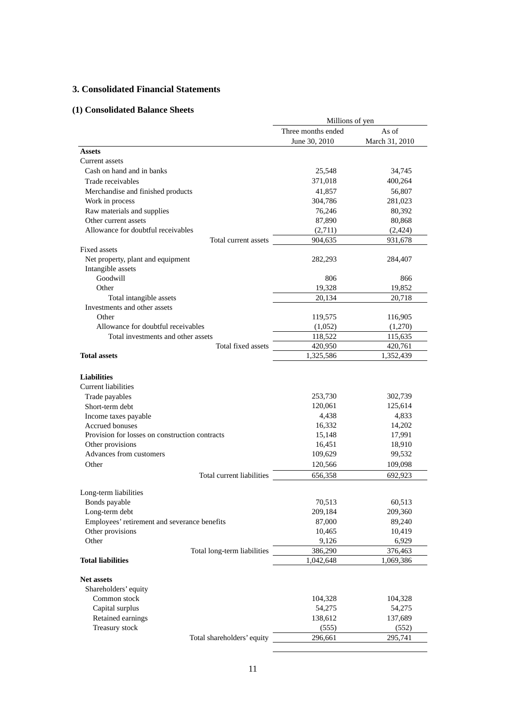## **3. Consolidated Financial Statements**

## **(1) Consolidated Balance Sheets**

|                                                                    | Millions of yen    |                |  |
|--------------------------------------------------------------------|--------------------|----------------|--|
|                                                                    | Three months ended | As of          |  |
|                                                                    | June 30, 2010      | March 31, 2010 |  |
| <b>Assets</b>                                                      |                    |                |  |
| Current assets                                                     |                    |                |  |
| Cash on hand and in banks                                          | 25,548             | 34,745         |  |
| Trade receivables                                                  | 371,018            | 400,264        |  |
| Merchandise and finished products                                  | 41,857             | 56,807         |  |
| Work in process                                                    | 304,786            | 281,023        |  |
| Raw materials and supplies                                         | 76,246             | 80,392         |  |
| Other current assets                                               | 87,890             | 80,868         |  |
| Allowance for doubtful receivables                                 | (2,711)            | (2, 424)       |  |
| Total current assets                                               | 904,635            | 931,678        |  |
| <b>Fixed assets</b>                                                |                    |                |  |
| Net property, plant and equipment<br>Intangible assets             | 282,293            | 284,407        |  |
| Goodwill                                                           | 806                | 866            |  |
| Other                                                              | 19,328             | 19,852         |  |
| Total intangible assets                                            | 20,134             | 20,718         |  |
| Investments and other assets                                       |                    |                |  |
| Other                                                              | 119,575            | 116,905        |  |
| Allowance for doubtful receivables                                 | (1,052)            | (1,270)        |  |
| Total investments and other assets                                 | 118,522            | 115,635        |  |
| Total fixed assets                                                 | 420,950            | 420,761        |  |
| <b>Total assets</b>                                                | 1,325,586          | 1,352,439      |  |
| <b>Liabilities</b><br><b>Current liabilities</b><br>Trade payables | 253,730            | 302,739        |  |
| Short-term debt                                                    | 120,061            | 125,614        |  |
| Income taxes payable                                               | 4,438              | 4,833          |  |
| <b>Accrued bonuses</b>                                             | 16,332             | 14,202         |  |
| Provision for losses on construction contracts                     | 15,148             | 17,991         |  |
| Other provisions                                                   | 16,451             | 18,910         |  |
| Advances from customers                                            | 109,629            | 99,532         |  |
| Other                                                              | 120,566            | 109,098        |  |
| Total current liabilities                                          | 656,358            | 692,923        |  |
| Long-term liabilities                                              |                    |                |  |
| Bonds payable                                                      | 70,513             | 60,513         |  |
| Long-term debt                                                     | 209,184            | 209,360        |  |
| Employees' retirement and severance benefits                       | 87,000             | 89,240         |  |
| Other provisions                                                   | 10,465             | 10,419         |  |
| Other                                                              | 9,126              | 6,929          |  |
| Total long-term liabilities                                        | 386,290            | 376,463        |  |
| <b>Total liabilities</b>                                           | 1,042,648          | 1,069,386      |  |
| <b>Net assets</b><br>Shareholders' equity                          |                    |                |  |
| Common stock                                                       | 104,328            | 104,328        |  |
| Capital surplus                                                    | 54,275             | 54,275         |  |
| Retained earnings                                                  | 138,612            | 137,689        |  |
| Treasury stock                                                     | (555)              | (552)          |  |
| Total shareholders' equity                                         | 296,661            | 295,741        |  |
|                                                                    |                    |                |  |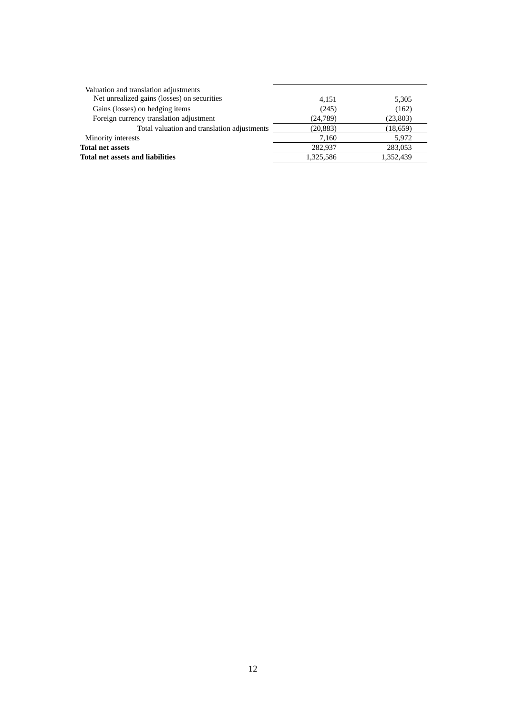| Valuation and translation adjustments       |           |           |
|---------------------------------------------|-----------|-----------|
| Net unrealized gains (losses) on securities | 4.151     | 5,305     |
| Gains (losses) on hedging items             | (245)     | (162)     |
| Foreign currency translation adjustment     | (24, 789) | (23, 803) |
| Total valuation and translation adjustments | (20, 883) | (18,659)  |
| Minority interests                          | 7.160     | 5,972     |
| <b>Total net assets</b>                     | 282,937   | 283,053   |
| Total net assets and liabilities            | 1.325.586 | 1.352.439 |
|                                             |           |           |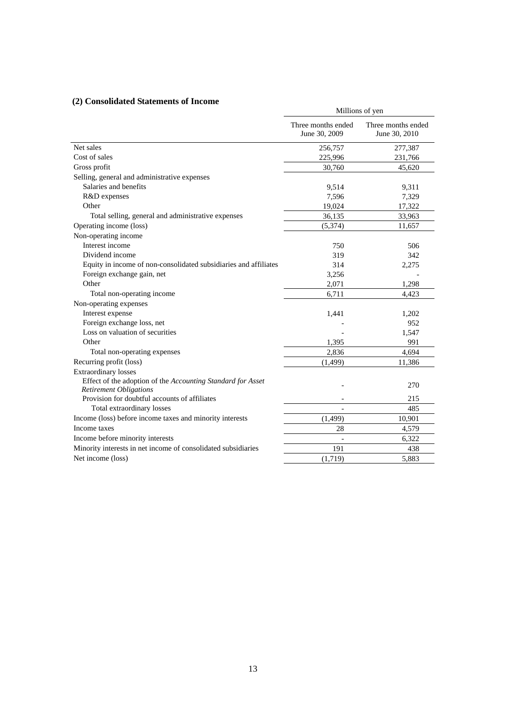## **(2) Consolidated Statements of Income**

| Consonuated biatements of Income                                                             | Millions of yen                     |                                     |  |
|----------------------------------------------------------------------------------------------|-------------------------------------|-------------------------------------|--|
|                                                                                              | Three months ended<br>June 30, 2009 | Three months ended<br>June 30, 2010 |  |
| Net sales                                                                                    | 256,757                             | 277,387                             |  |
| Cost of sales                                                                                | 225,996                             | 231,766                             |  |
| Gross profit                                                                                 | 30,760                              | 45,620                              |  |
| Selling, general and administrative expenses                                                 |                                     |                                     |  |
| Salaries and benefits                                                                        | 9,514                               | 9,311                               |  |
| R&D expenses                                                                                 | 7,596                               | 7,329                               |  |
| Other                                                                                        | 19,024                              | 17,322                              |  |
| Total selling, general and administrative expenses                                           | 36,135                              | 33,963                              |  |
| Operating income (loss)                                                                      | (5,374)                             | 11,657                              |  |
| Non-operating income                                                                         |                                     |                                     |  |
| Interest income                                                                              | 750                                 | 506                                 |  |
| Dividend income                                                                              | 319                                 | 342                                 |  |
| Equity in income of non-consolidated subsidiaries and affiliates                             | 314                                 | 2,275                               |  |
| Foreign exchange gain, net                                                                   | 3,256                               |                                     |  |
| Other                                                                                        | 2,071                               | 1,298                               |  |
| Total non-operating income                                                                   | 6,711                               | 4,423                               |  |
| Non-operating expenses                                                                       |                                     |                                     |  |
| Interest expense                                                                             | 1,441                               | 1,202                               |  |
| Foreign exchange loss, net                                                                   |                                     | 952                                 |  |
| Loss on valuation of securities                                                              |                                     | 1,547                               |  |
| Other                                                                                        | 1,395                               | 991                                 |  |
| Total non-operating expenses                                                                 | 2,836                               | 4,694                               |  |
| Recurring profit (loss)                                                                      | (1, 499)                            | 11,386                              |  |
| <b>Extraordinary losses</b>                                                                  |                                     |                                     |  |
| Effect of the adoption of the Accounting Standard for Asset<br><b>Retirement Obligations</b> |                                     | 270                                 |  |
| Provision for doubtful accounts of affiliates                                                |                                     | 215                                 |  |
| Total extraordinary losses                                                                   | $\overline{\phantom{a}}$            | 485                                 |  |
| Income (loss) before income taxes and minority interests                                     | (1, 499)                            | 10,901                              |  |
| Income taxes                                                                                 | 28                                  | 4,579                               |  |
| Income before minority interests                                                             |                                     | 6,322                               |  |
| Minority interests in net income of consolidated subsidiaries                                | 191                                 | 438                                 |  |
| Net income (loss)                                                                            | (1,719)                             | 5,883                               |  |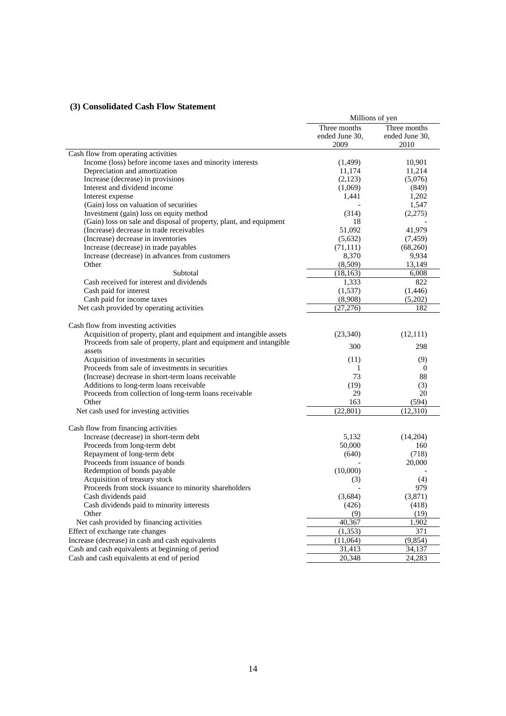## **(3) Consolidated Cash Flow Statement**

|                                                                    |                                | Millions of yen                |
|--------------------------------------------------------------------|--------------------------------|--------------------------------|
|                                                                    | Three months<br>ended June 30, | Three months<br>ended June 30, |
|                                                                    | 2009                           | 2010                           |
| Cash flow from operating activities                                |                                |                                |
| Income (loss) before income taxes and minority interests           | (1,499)                        | 10,901                         |
| Depreciation and amortization                                      | 11,174                         | 11,214                         |
| Increase (decrease) in provisions                                  | (2,123)                        | (5,076)                        |
| Interest and dividend income                                       | (1,069)                        | (849)                          |
| Interest expense                                                   | 1,441                          | 1,202                          |
| (Gain) loss on valuation of securities                             |                                | 1,547                          |
| Investment (gain) loss on equity method                            | (314)                          | (2,275)                        |
| (Gain) loss on sale and disposal of property, plant, and equipment | 18                             |                                |
| (Increase) decrease in trade receivables                           | 51,092                         | 41,979                         |
| (Increase) decrease in inventories                                 | (5,632)                        | (7, 459)                       |
| Increase (decrease) in trade payables                              | (71, 111)                      | (68,260)                       |
| Increase (decrease) in advances from customers                     | 8,370                          | 9,934                          |
| Other                                                              | (8,509)                        | 13,149                         |
| Subtotal                                                           | (18, 163)                      | 6,008                          |
| Cash received for interest and dividends                           | 1,333                          | 822                            |
| Cash paid for interest                                             | (1,537)                        | (1, 446)                       |
| Cash paid for income taxes                                         | (8,908)                        | (5,202)                        |
| Net cash provided by operating activities                          | (27, 276)                      | 182                            |
| Cash flow from investing activities                                |                                |                                |
| Acquisition of property, plant and equipment and intangible assets | (23, 340)                      | (12,111)                       |
| Proceeds from sale of property, plant and equipment and intangible |                                |                                |
| assets                                                             | 300                            | 298                            |
| Acquisition of investments in securities                           | (11)                           | (9)                            |
| Proceeds from sale of investments in securities                    | 1                              | $\bf{0}$                       |
| (Increase) decrease in short-term loans receivable                 | 73                             | 88                             |
| Additions to long-term loans receivable                            | (19)                           | (3)                            |
| Proceeds from collection of long-term loans receivable             | 29                             | 20                             |
| Other                                                              | 163                            | (594)                          |
| Net cash used for investing activities                             | (22, 801)                      | (12, 310)                      |
| Cash flow from financing activities                                |                                |                                |
| Increase (decrease) in short-term debt                             | 5,132                          | (14,204)                       |
| Proceeds from long-term debt                                       | 50,000                         | 160                            |
| Repayment of long-term debt                                        | (640)                          | (718)                          |
| Proceeds from issuance of bonds                                    |                                | 20,000                         |
| Redemption of bonds payable                                        | (10,000)                       |                                |
| Acquisition of treasury stock                                      | (3)                            | (4)                            |
| Proceeds from stock issuance to minority shareholders              |                                | 979                            |
| Cash dividends paid                                                | (3,684)                        | (3,871)                        |
| Cash dividends paid to minority interests                          | (426)                          | (418)                          |
| Other                                                              | (9)                            | (19)                           |
| Net cash provided by financing activities                          | 40,367                         |                                |
|                                                                    |                                | 1,902                          |
| Effect of exchange rate changes                                    | (1, 353)                       | 371                            |
| Increase (decrease) in cash and cash equivalents                   | (11,064)                       | (9, 854)                       |
| Cash and cash equivalents at beginning of period                   | 31,413                         | 34,137                         |
| Cash and cash equivalents at end of period                         | 20,348                         | $\overline{2}4,283$            |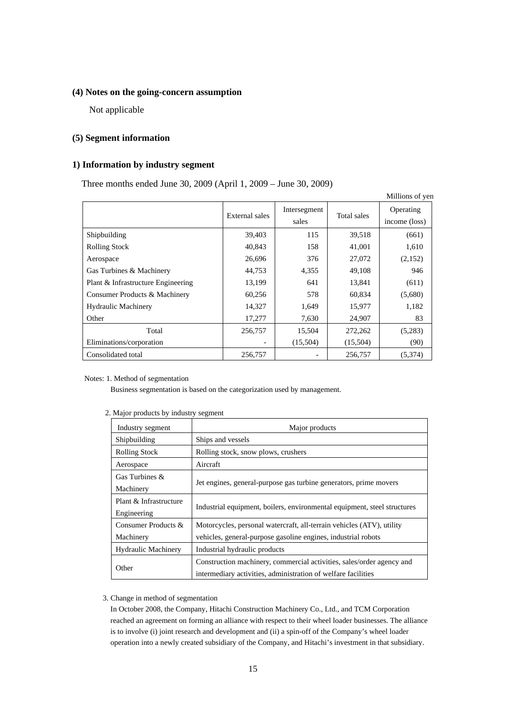## **(4) Notes on the going-concern assumption**

Not applicable

## **(5) Segment information**

## **1) Information by industry segment**

Three months ended June 30, 2009 (April 1, 2009 – June 30, 2009)

|                                    |                |                       |             | Millions of yen            |
|------------------------------------|----------------|-----------------------|-------------|----------------------------|
|                                    | External sales | Intersegment<br>sales | Total sales | Operating<br>income (loss) |
| Shipbuilding                       | 39,403         | 115                   | 39,518      | (661)                      |
| <b>Rolling Stock</b>               | 40,843         | 158                   | 41,001      | 1,610                      |
| Aerospace                          | 26,696         | 376                   | 27,072      | (2,152)                    |
| Gas Turbines & Machinery           | 44,753         | 4,355                 | 49,108      | 946                        |
| Plant & Infrastructure Engineering | 13,199         | 641                   | 13,841      | (611)                      |
| Consumer Products & Machinery      | 60,256         | 578                   | 60,834      | (5,680)                    |
| <b>Hydraulic Machinery</b>         | 14,327         | 1,649                 | 15,977      | 1,182                      |
| Other                              | 17,277         | 7,630                 | 24,907      | 83                         |
| Total                              | 256,757        | 15,504                | 272,262     | (5,283)                    |
| Eliminations/corporation           |                | (15,504)              | (15,504)    | (90)                       |
| Consolidated total                 | 256,757        |                       | 256,757     | (5,374)                    |

#### Notes: 1. Method of segmentation

Business segmentation is based on the categorization used by management.

| Industry segment                      | Major products                                                                                                                         |
|---------------------------------------|----------------------------------------------------------------------------------------------------------------------------------------|
| Shipbuilding                          | Ships and vessels                                                                                                                      |
| <b>Rolling Stock</b>                  | Rolling stock, snow plows, crushers                                                                                                    |
| Aerospace                             | Aircraft                                                                                                                               |
| Gas Turbines &<br>Machinery           | Jet engines, general-purpose gas turbine generators, prime movers                                                                      |
| Plant & Infrastructure<br>Engineering | Industrial equipment, boilers, environmental equipment, steel structures                                                               |
| Consumer Products &<br>Machinery      | Motorcycles, personal watercraft, all-terrain vehicles (ATV), utility<br>vehicles, general-purpose gasoline engines, industrial robots |
| <b>Hydraulic Machinery</b>            | Industrial hydraulic products                                                                                                          |
| Other                                 | Construction machinery, commercial activities, sales/order agency and<br>intermediary activities, administration of welfare facilities |

## 2. Major products by industry segment

#### 3. Change in method of segmentation

In October 2008, the Company, Hitachi Construction Machinery Co., Ltd., and TCM Corporation reached an agreement on forming an alliance with respect to their wheel loader businesses. The alliance is to involve (i) joint research and development and (ii) a spin-off of the Company's wheel loader operation into a newly created subsidiary of the Company, and Hitachi's investment in that subsidiary.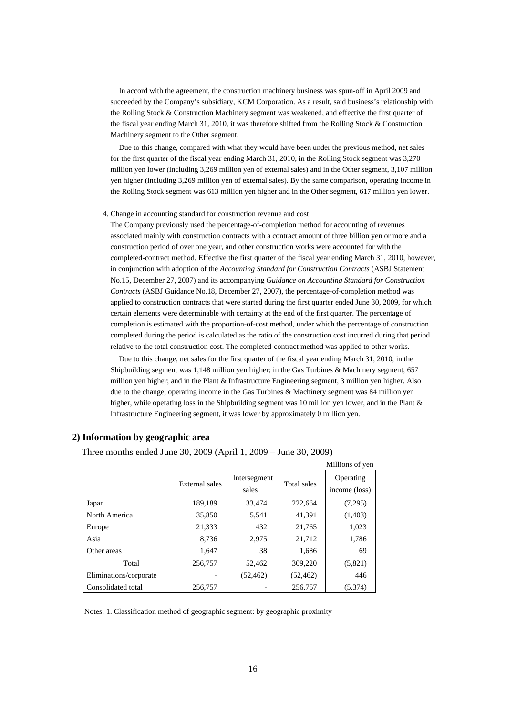In accord with the agreement, the construction machinery business was spun-off in April 2009 and succeeded by the Company's subsidiary, KCM Corporation. As a result, said business's relationship with the Rolling Stock & Construction Machinery segment was weakened, and effective the first quarter of the fiscal year ending March 31, 2010, it was therefore shifted from the Rolling Stock & Construction Machinery segment to the Other segment.

Due to this change, compared with what they would have been under the previous method, net sales for the first quarter of the fiscal year ending March 31, 2010, in the Rolling Stock segment was 3,270 million yen lower (including 3,269 million yen of external sales) and in the Other segment, 3,107 million yen higher (including 3,269 million yen of external sales). By the same comparison, operating income in the Rolling Stock segment was 613 million yen higher and in the Other segment, 617 million yen lower.

#### 4. Change in accounting standard for construction revenue and cost

The Company previously used the percentage-of-completion method for accounting of revenues associated mainly with construction contracts with a contract amount of three billion yen or more and a construction period of over one year, and other construction works were accounted for with the completed-contract method. Effective the first quarter of the fiscal year ending March 31, 2010, however, in conjunction with adoption of the *Accounting Standard for Construction Contracts* (ASBJ Statement No.15, December 27, 2007) and its accompanying *Guidance on Accounting Standard for Construction Contracts* (ASBJ Guidance No.18, December 27, 2007), the percentage-of-completion method was applied to construction contracts that were started during the first quarter ended June 30, 2009, for which certain elements were determinable with certainty at the end of the first quarter. The percentage of completion is estimated with the proportion-of-cost method, under which the percentage of construction completed during the period is calculated as the ratio of the construction cost incurred during that period relative to the total construction cost. The completed-contract method was applied to other works.

Due to this change, net sales for the first quarter of the fiscal year ending March 31, 2010, in the Shipbuilding segment was 1,148 million yen higher; in the Gas Turbines & Machinery segment, 657 million yen higher; and in the Plant & Infrastructure Engineering segment, 3 million yen higher. Also due to the change, operating income in the Gas Turbines & Machinery segment was 84 million yen higher, while operating loss in the Shipbuilding segment was 10 million yen lower, and in the Plant & Infrastructure Engineering segment, it was lower by approximately 0 million yen.

|                        |                |                       |             | Millions of yen            |
|------------------------|----------------|-----------------------|-------------|----------------------------|
|                        | External sales | Intersegment<br>sales | Total sales | Operating<br>income (loss) |
| Japan                  | 189,189        | 33,474                | 222,664     | (7,295)                    |
| North America          | 35,850         | 5,541                 | 41,391      | (1,403)                    |
| Europe                 | 21,333         | 432                   | 21,765      | 1,023                      |
| Asia                   | 8,736          | 12,975                | 21,712      | 1,786                      |
| Other areas            | 1,647          | 38                    | 1,686       | 69                         |
| Total                  | 256,757        | 52,462                | 309,220     | (5,821)                    |
| Eliminations/corporate |                | (52, 462)             | (52, 462)   | 446                        |
| Consolidated total     | 256,757        |                       | 256,757     | (5,374)                    |

## **2) Information by geographic area**

Three months ended June 30, 2009 (April 1, 2009 – June 30, 2009)

Notes: 1. Classification method of geographic segment: by geographic proximity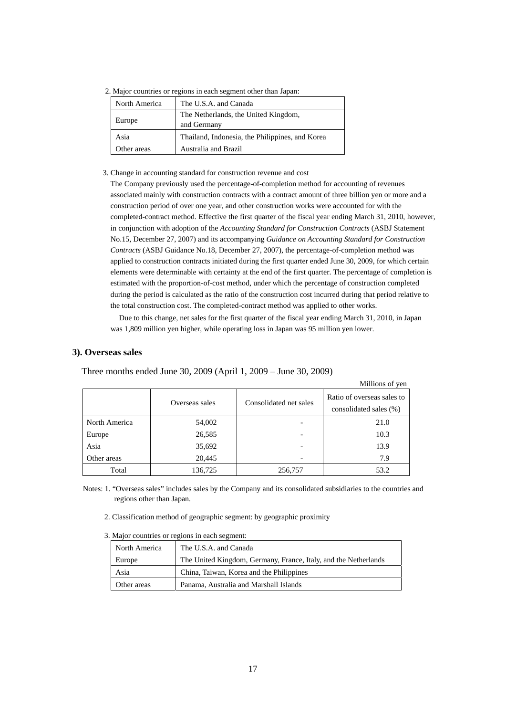|  |  |  |  | 2. Major countries or regions in each segment other than Japan: |  |
|--|--|--|--|-----------------------------------------------------------------|--|
|  |  |  |  |                                                                 |  |

| North America | The U.S.A. and Canada                               |
|---------------|-----------------------------------------------------|
| Europe        | The Netherlands, the United Kingdom,<br>and Germany |
| Asia          | Thailand, Indonesia, the Philippines, and Korea     |
| Other areas   | Australia and Brazil                                |

#### 3. Change in accounting standard for construction revenue and cost

The Company previously used the percentage-of-completion method for accounting of revenues associated mainly with construction contracts with a contract amount of three billion yen or more and a construction period of over one year, and other construction works were accounted for with the completed-contract method. Effective the first quarter of the fiscal year ending March 31, 2010, however, in conjunction with adoption of the *Accounting Standard for Construction Contracts* (ASBJ Statement No.15, December 27, 2007) and its accompanying *Guidance on Accounting Standard for Construction Contracts* (ASBJ Guidance No.18, December 27, 2007), the percentage-of-completion method was applied to construction contracts initiated during the first quarter ended June 30, 2009, for which certain elements were determinable with certainty at the end of the first quarter. The percentage of completion is estimated with the proportion-of-cost method, under which the percentage of construction completed during the period is calculated as the ratio of the construction cost incurred during that period relative to the total construction cost. The completed-contract method was applied to other works.

Due to this change, net sales for the first quarter of the fiscal year ending March 31, 2010, in Japan was 1,809 million yen higher, while operating loss in Japan was 95 million yen lower.

## **3). Overseas sales**

|               |                |                        | Millions of yen                                      |
|---------------|----------------|------------------------|------------------------------------------------------|
|               | Overseas sales | Consolidated net sales | Ratio of overseas sales to<br>consolidated sales (%) |
| North America | 54,002         |                        | 21.0                                                 |
| Europe        | 26,585         |                        | 10.3                                                 |
| Asia          | 35,692         |                        | 13.9                                                 |
| Other areas   | 20,445         |                        | 7.9                                                  |
| Total         | 136,725        | 256,757                | 53.2                                                 |

Three months ended June 30, 2009 (April 1, 2009 – June 30, 2009)

Notes: 1. "Overseas sales" includes sales by the Company and its consolidated subsidiaries to the countries and regions other than Japan.

- 2. Classification method of geographic segment: by geographic proximity
- 3. Major countries or regions in each segment:

| North America | The U.S.A. and Canada                                           |
|---------------|-----------------------------------------------------------------|
| Europe        | The United Kingdom, Germany, France, Italy, and the Netherlands |
| Asia          | China, Taiwan, Korea and the Philippines                        |
| Other areas   | Panama, Australia and Marshall Islands                          |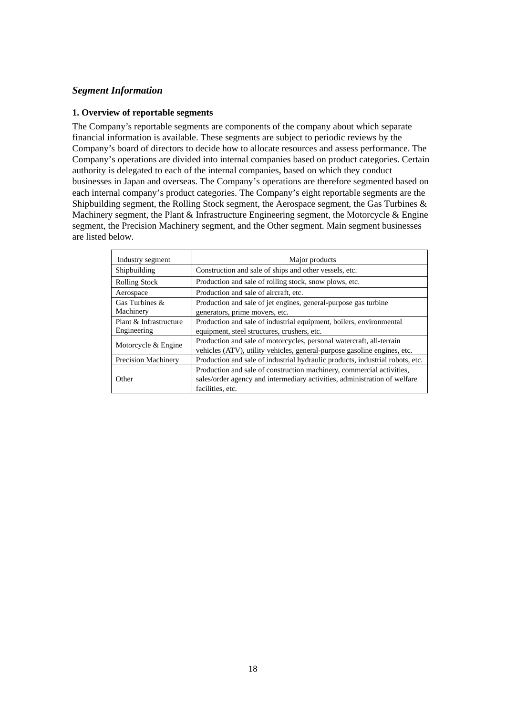## *Segment Information*

## **1. Overview of reportable segments**

The Company's reportable segments are components of the company about which separate financial information is available. These segments are subject to periodic reviews by the Company's board of directors to decide how to allocate resources and assess performance. The Company's operations are divided into internal companies based on product categories. Certain authority is delegated to each of the internal companies, based on which they conduct businesses in Japan and overseas. The Company's operations are therefore segmented based on each internal company's product categories. The Company's eight reportable segments are the Shipbuilding segment, the Rolling Stock segment, the Aerospace segment, the Gas Turbines & Machinery segment, the Plant & Infrastructure Engineering segment, the Motorcycle & Engine segment, the Precision Machinery segment, and the Other segment. Main segment businesses are listed below.

| Industry segment           | Major products                                                                |  |  |
|----------------------------|-------------------------------------------------------------------------------|--|--|
| Shipbuilding               | Construction and sale of ships and other vessels, etc.                        |  |  |
| <b>Rolling Stock</b>       | Production and sale of rolling stock, snow plows, etc.                        |  |  |
| Aerospace                  | Production and sale of aircraft, etc.                                         |  |  |
| Gas Turbines &             | Production and sale of jet engines, general-purpose gas turbine               |  |  |
| Machinery                  | generators, prime movers, etc.                                                |  |  |
| Plant & Infrastructure     | Production and sale of industrial equipment, boilers, environmental           |  |  |
| Engineering                | equipment, steel structures, crushers, etc.                                   |  |  |
| Motorcycle & Engine        | Production and sale of motorcycles, personal watercraft, all-terrain          |  |  |
|                            | vehicles (ATV), utility vehicles, general-purpose gasoline engines, etc.      |  |  |
| <b>Precision Machinery</b> | Production and sale of industrial hydraulic products, industrial robots, etc. |  |  |
|                            | Production and sale of construction machinery, commercial activities,         |  |  |
| Other                      | sales/order agency and intermediary activities, administration of welfare     |  |  |
|                            | facilities, etc.                                                              |  |  |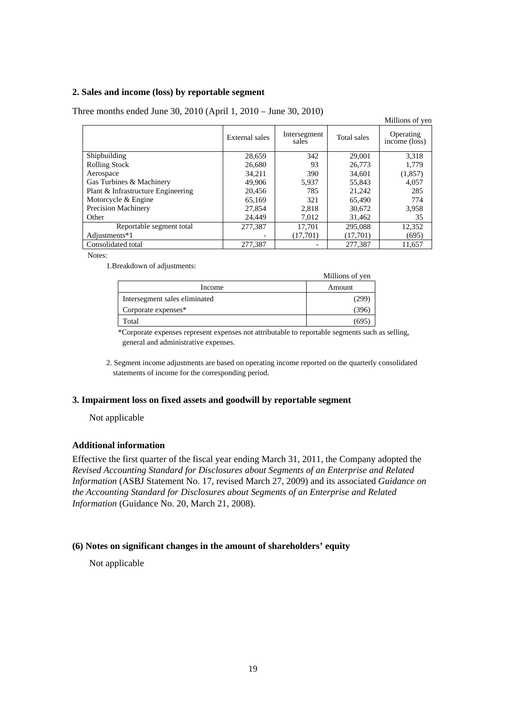## **2. Sales and income (loss) by reportable segment**

|                                    |                |                       |             | Millions of yen            |
|------------------------------------|----------------|-----------------------|-------------|----------------------------|
|                                    | External sales | Intersegment<br>sales | Total sales | Operating<br>income (loss) |
| Shipbuilding                       | 28,659         | 342                   | 29,001      | 3,318                      |
| <b>Rolling Stock</b>               | 26,680         | 93                    | 26,773      | 1.779                      |
| Aerospace                          | 34.211         | 390                   | 34,601      | (1, 857)                   |
| Gas Turbines & Machinery           | 49,906         | 5,937                 | 55,843      | 4,057                      |
| Plant & Infrastructure Engineering | 20,456         | 785                   | 21,242      | 285                        |
| Motorcycle & Engine                | 65.169         | 321                   | 65,490      | 774                        |
| <b>Precision Machinery</b>         | 27,854         | 2,818                 | 30,672      | 3,958                      |
| Other                              | 24.449         | 7,012                 | 31,462      | 35                         |
| Reportable segment total           | 277,387        | 17.701                | 295,088     | 12,352                     |
| Adjustments*1                      |                | (17,701)              | (17,701)    | (695)                      |
| Consolidated total                 | 277,387        |                       | 277,387     | 11,657                     |

Three months ended June 30, 2010 (April 1, 2010 – June 30, 2010)

Notes:

1.Breakdown of adjustments:

|                               | Millions of yen |
|-------------------------------|-----------------|
| Income                        | Amount          |
| Intersegment sales eliminated | (299)           |
| Corporate expenses*           | 396             |
| Total                         | 695             |

\*Corporate expenses represent expenses not attributable to reportable segments such as selling, general and administrative expenses.

2. Segment income adjustments are based on operating income reported on the quarterly consolidated statements of income for the corresponding period.

## **3. Impairment loss on fixed assets and goodwill by reportable segment**

Not applicable

## **Additional information**

Effective the first quarter of the fiscal year ending March 31, 2011, the Company adopted the *Revised Accounting Standard for Disclosures about Segments of an Enterprise and Related Information* (ASBJ Statement No. 17, revised March 27, 2009) and its associated *Guidance on the Accounting Standard for Disclosures about Segments of an Enterprise and Related Information* (Guidance No. 20, March 21, 2008).

## **(6) Notes on significant changes in the amount of shareholders' equity**

Not applicable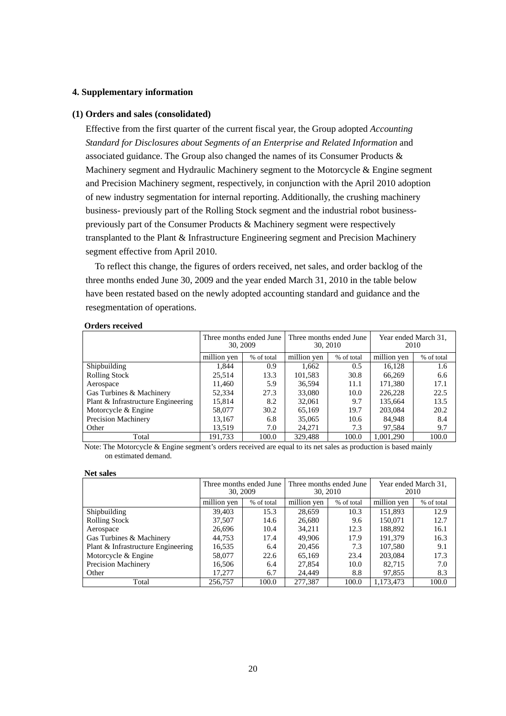## **4. Supplementary information**

### **(1) Orders and sales (consolidated)**

Effective from the first quarter of the current fiscal year, the Group adopted *Accounting Standard for Disclosures about Segments of an Enterprise and Related Information* and associated guidance. The Group also changed the names of its Consumer Products & Machinery segment and Hydraulic Machinery segment to the Motorcycle & Engine segment and Precision Machinery segment, respectively, in conjunction with the April 2010 adoption of new industry segmentation for internal reporting. Additionally, the crushing machinery business- previously part of the Rolling Stock segment and the industrial robot businesspreviously part of the Consumer Products & Machinery segment were respectively transplanted to the Plant & Infrastructure Engineering segment and Precision Machinery segment effective from April 2010.

To reflect this change, the figures of orders received, net sales, and order backlog of the three months ended June 30, 2009 and the year ended March 31, 2010 in the table below have been restated based on the newly adopted accounting standard and guidance and the resegmentation of operations.

#### **Orders received**

|                                    | Three months ended June<br>30, 2009 |            | Three months ended June<br>30, 2010 |            | Year ended March 31,<br>2010 |            |
|------------------------------------|-------------------------------------|------------|-------------------------------------|------------|------------------------------|------------|
|                                    | million yen                         | % of total | million yen                         | % of total | million yen                  | % of total |
| Shipbuilding                       | 1.844                               | 0.9        | 1,662                               | 0.5        | 16,128                       | 1.6        |
| <b>Rolling Stock</b>               | 25.514                              | 13.3       | 101,583                             | 30.8       | 66,269                       | 6.6        |
| Aerospace                          | 11.460                              | 5.9        | 36.594                              | 11.1       | 171,380                      | 17.1       |
| Gas Turbines & Machinery           | 52,334                              | 27.3       | 33,080                              | 10.0       | 226,228                      | 22.5       |
| Plant & Infrastructure Engineering | 15,814                              | 8.2        | 32,061                              | 9.7        | 135,664                      | 13.5       |
| Motorcycle & Engine                | 58,077                              | 30.2       | 65,169                              | 19.7       | 203,084                      | 20.2       |
| <b>Precision Machinery</b>         | 13,167                              | 6.8        | 35,065                              | 10.6       | 84,948                       | 8.4        |
| Other                              | 13,519                              | 7.0        | 24,271                              | 7.3        | 97,584                       | 9.7        |
| Total                              | 191,733                             | 100.0      | 329,488                             | 100.0      | 1.001.290                    | 100.0      |

Note: The Motorcycle & Engine segment's orders received are equal to its net sales as production is based mainly on estimated demand.

#### **Net sales**

|                                    | Three months ended June<br>30, 2009 |            | Three months ended June<br>30, 2010 |            | Year ended March 31.<br>2010 |            |
|------------------------------------|-------------------------------------|------------|-------------------------------------|------------|------------------------------|------------|
|                                    | million yen                         | % of total | million yen                         | % of total | million yen                  | % of total |
| Shipbuilding                       | 39.403                              | 15.3       | 28,659                              | 10.3       | 151,893                      | 12.9       |
| <b>Rolling Stock</b>               | 37,507                              | 14.6       | 26,680                              | 9.6        | 150,071                      | 12.7       |
| Aerospace                          | 26,696                              | 10.4       | 34.211                              | 12.3       | 188,892                      | 16.1       |
| Gas Turbines & Machinery           | 44,753                              | 17.4       | 49,906                              | 17.9       | 191,379                      | 16.3       |
| Plant & Infrastructure Engineering | 16,535                              | 6.4        | 20,456                              | 7.3        | 107,580                      | 9.1        |
| Motorcycle & Engine                | 58,077                              | 22.6       | 65,169                              | 23.4       | 203,084                      | 17.3       |
| <b>Precision Machinery</b>         | 16,506                              | 6.4        | 27,854                              | 10.0       | 82.715                       | 7.0        |
| Other                              | 17.277                              | 6.7        | 24,449                              | 8.8        | 97,855                       | 8.3        |
| Total                              | 256,757                             | 100.0      | 277,387                             | 100.0      | 1,173,473                    | 100.0      |